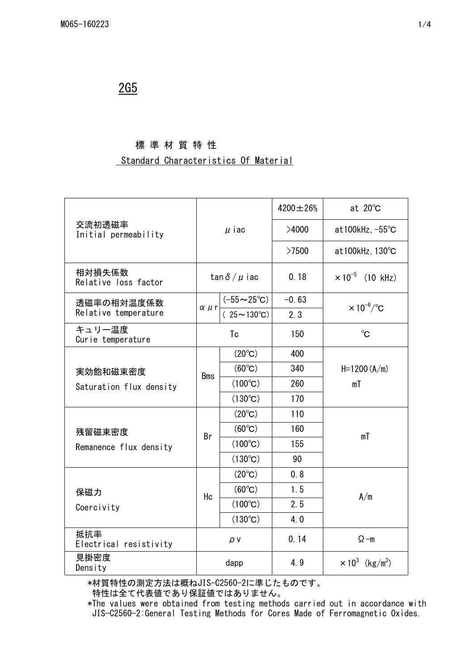## 2G5

### 標 準 材 質 特 性

#### Standard Characteristics Of Material

|                                    |                      |                          | $4200 \pm 26%$ | at $20^{\circ}$ C                  |
|------------------------------------|----------------------|--------------------------|----------------|------------------------------------|
| 交流初透磁率<br>Initial permeability     | $\mu$ iac            |                          | >4000          | at100kHz, $-55^{\circ}$ C          |
|                                    |                      |                          | >7500          | at100kHz, 130°C                    |
| 相対損失係数<br>Relative loss factor     | tan $\delta/\mu$ iac |                          | 0.18           | $\times 10^{-5}$ (10 kHz)          |
| 透磁率の相対温度係数<br>Relative temperature |                      | $(-55 \sim 25^{\circ}C)$ | $-0.63$        | $\times 10^{-6}$ /°C               |
|                                    | $\alpha$ $\mu$ r     | $(25 \sim 130^{\circ}C)$ | 2.3            |                                    |
| キュリー温度<br>Curie temperature        | Tc                   |                          | 150            | $^{\circ}C$                        |
|                                    |                      | $(20^{\circ}C)$          | 400            | $H = 1200 (A/m)$<br>mT             |
| 実効飽和磁束密度                           | <b>Bms</b>           | $(60^{\circ}C)$          | 340            |                                    |
| Saturation flux density            |                      | $(100^{\circ}C)$         | 260            |                                    |
|                                    |                      | $(130^{\circ}C)$         | 170            |                                    |
|                                    | Br                   | $(20^{\circ}C)$          | 110            | mT                                 |
| 残留磁束密度                             |                      | $(60^{\circ}C)$          | 160            |                                    |
| Remanence flux density             |                      | $(100^{\circ}C)$         | 155            |                                    |
|                                    |                      | $(130^{\circ}C)$         | 90             |                                    |
|                                    | Hc                   | $(20^{\circ}C)$          | 0, 8           | A/m                                |
| 保磁力                                |                      | $(60^{\circ}C)$          | 1.5            |                                    |
| Coercivity                         |                      | $(100^{\circ}C)$         | 2.5            |                                    |
|                                    |                      | $(130^{\circ}C)$         | 4.0            |                                    |
| 抵抗率<br>Electrical resistivity      | $\rho v$             |                          | 0.14           | $\Omega$ -m                        |
| 見掛密度<br>Density                    | dapp                 |                          | 4.9            | $\times 10^3$ (kg/m <sup>3</sup> ) |

\*材質特性の測定方法は概ねJIS-C2560-2に準じたものです。

特性は全て代表値であり保証値ではありません。

 \*The values were obtained from testing methods carried out in accordance with JIS-C2560-2:General Testing Methods for Cores Made of Ferromagnetic Oxides.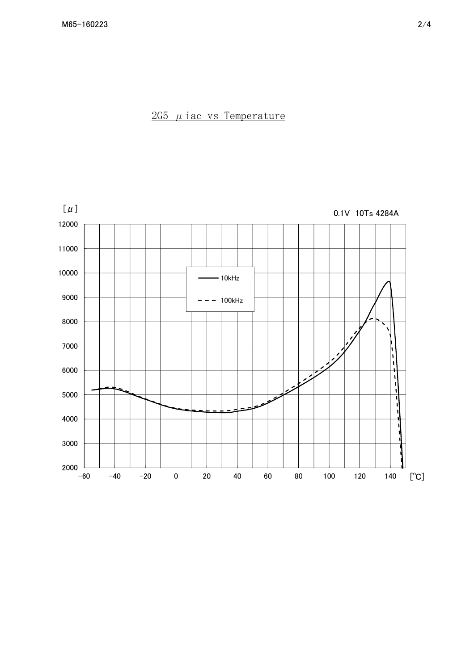$2G5$   $\mu$  iac vs Temperature

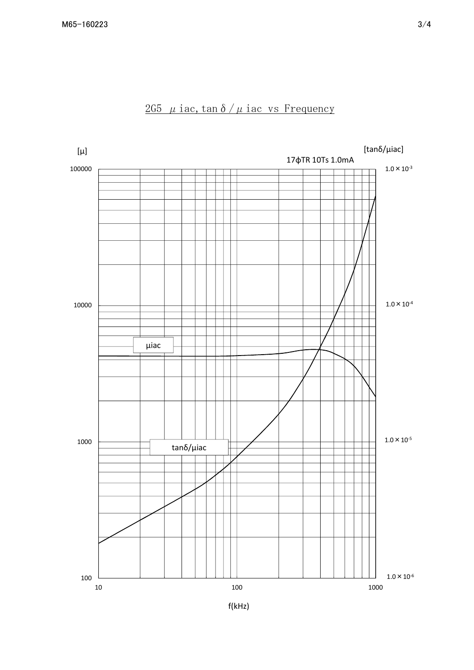

# 2G5  $\mu$  iac, tan δ /  $\mu$  iac vs Frequency

f(kHz)